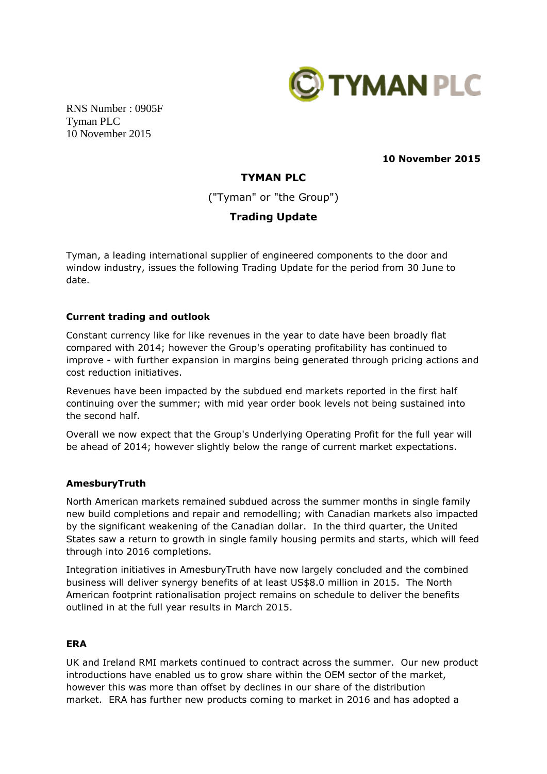

RNS Number : 0905F Tyman PLC 10 November 2015

**10 November 2015**

# **TYMAN PLC**

("Tyman" or "the Group")

## **Trading Update**

Tyman, a leading international supplier of engineered components to the door and window industry, issues the following Trading Update for the period from 30 June to date.

## **Current trading and outlook**

Constant currency like for like revenues in the year to date have been broadly flat compared with 2014; however the Group's operating profitability has continued to improve - with further expansion in margins being generated through pricing actions and cost reduction initiatives.

Revenues have been impacted by the subdued end markets reported in the first half continuing over the summer; with mid year order book levels not being sustained into the second half.

Overall we now expect that the Group's Underlying Operating Profit for the full year will be ahead of 2014; however slightly below the range of current market expectations.

## **AmesburyTruth**

North American markets remained subdued across the summer months in single family new build completions and repair and remodelling; with Canadian markets also impacted by the significant weakening of the Canadian dollar. In the third quarter, the United States saw a return to growth in single family housing permits and starts, which will feed through into 2016 completions.

Integration initiatives in AmesburyTruth have now largely concluded and the combined business will deliver synergy benefits of at least US\$8.0 million in 2015. The North American footprint rationalisation project remains on schedule to deliver the benefits outlined in at the full year results in March 2015.

## **ERA**

UK and Ireland RMI markets continued to contract across the summer. Our new product introductions have enabled us to grow share within the OEM sector of the market, however this was more than offset by declines in our share of the distribution market. ERA has further new products coming to market in 2016 and has adopted a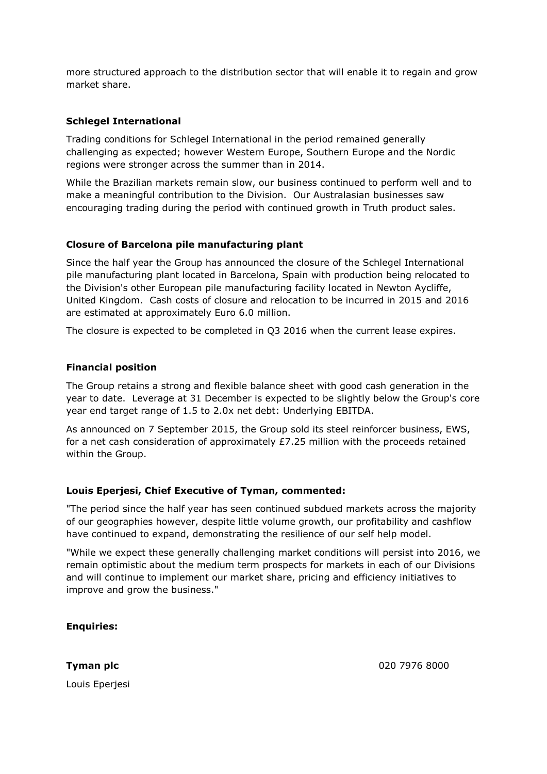more structured approach to the distribution sector that will enable it to regain and grow market share.

## **Schlegel International**

Trading conditions for Schlegel International in the period remained generally challenging as expected; however Western Europe, Southern Europe and the Nordic regions were stronger across the summer than in 2014.

While the Brazilian markets remain slow, our business continued to perform well and to make a meaningful contribution to the Division. Our Australasian businesses saw encouraging trading during the period with continued growth in Truth product sales.

## **Closure of Barcelona pile manufacturing plant**

Since the half year the Group has announced the closure of the Schlegel International pile manufacturing plant located in Barcelona, Spain with production being relocated to the Division's other European pile manufacturing facility located in Newton Aycliffe, United Kingdom. Cash costs of closure and relocation to be incurred in 2015 and 2016 are estimated at approximately Euro 6.0 million.

The closure is expected to be completed in Q3 2016 when the current lease expires.

#### **Financial position**

The Group retains a strong and flexible balance sheet with good cash generation in the year to date. Leverage at 31 December is expected to be slightly below the Group's core year end target range of 1.5 to 2.0x net debt: Underlying EBITDA.

As announced on 7 September 2015, the Group sold its steel reinforcer business, EWS, for a net cash consideration of approximately £7.25 million with the proceeds retained within the Group.

## **Louis Eperjesi, Chief Executive of Tyman, commented:**

"The period since the half year has seen continued subdued markets across the majority of our geographies however, despite little volume growth, our profitability and cashflow have continued to expand, demonstrating the resilience of our self help model.

"While we expect these generally challenging market conditions will persist into 2016, we remain optimistic about the medium term prospects for markets in each of our Divisions and will continue to implement our market share, pricing and efficiency initiatives to improve and grow the business."

#### **Enquiries:**

**Tyman plc**

Louis Eperjesi

020 7976 8000